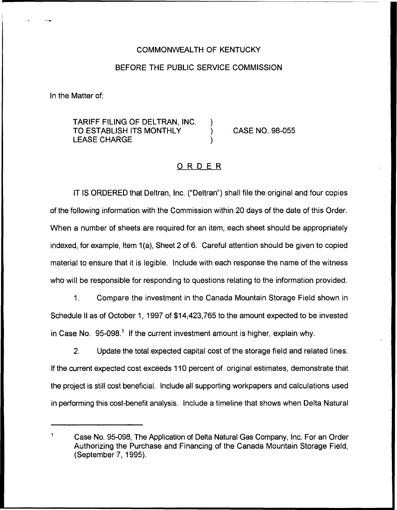## COMMONWEALTH OF KENTUCKY

## BEFORE THE PUBLIC SERVICE COMMISSION

In the Matter of:

## TARIFF FILING OF DELTRAN, INC. TO ESTABLISH ITS MONTHLY ) CASE NO. 98-055 LEASE CHARGE

## ORDER

IT IS ORDERED that Deltran, Inc. ("Deltran") shall file the original and four copies of the following information with the Commission within 20 days of the date of this Order. When a number of sheets are required for an item, each sheet should be appropriately indexed, for example, Item 1(a), Sheet 2 of 6. Careful attention should be given to copied material to ensure that it is legible. Include with each response the name of the witness who will be responsible for responding to questions relating to the information provided.

1. Compare the investment in the Canada Mountain Storage Field shown in Schedule II as of October 1, 1997 of \$14,423,765 to the amount expected to be invested in Case No. 95-098.<sup>1</sup> If the current investment amount is higher, explain why.

2. Update the total expected capital cost of the storage field and related lines. If the current expected cost exceeds 110 percent of original estimates, demonstrate that the project is still cost beneficial. Include all supporting workpapers and calculations used in performing this cost-benefit analysis. Include a timeline that shows when Delta Natural

 $\mathbf{1}$ Case No. 95-098, The Application of Delta Natural Gas Company, Inc. For an Order Authorizing the Purchase and Financing of the Canada Mountain Storage Field, (September 7, 1995).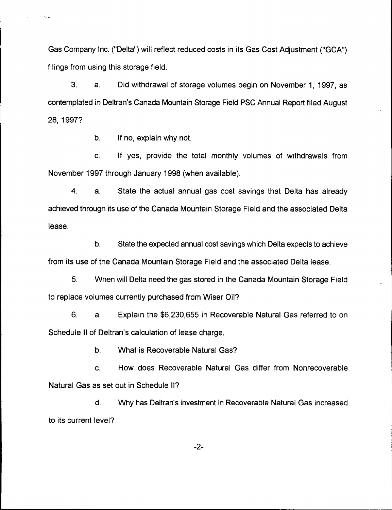Gas Company Inc. ("Delta") will reflect reduced costs in its Gas Cost Adjustment ("GCA") filings from using this storage field.

3. a. Did withdrawal of storage volumes begin on November 1, 1997, as contemplated in Deltran's Canada Mountain Storage Field PSC Annual Report filed August 28, 1997?

b. If no, explain why not.

c. If yes, provide the total monthly volumes of withdrawals from November 1997 through January 1998 (when available).

4. a. State the actual annual gas cost savings that Delta has already achieved through its use of the Canada Mountain Storage Field and the associated Delta lease.

b. State the expected annual cost savings which Delta expects to achieve from its use of the Canada Mountain Storage Field and the associated Delta lease.

5. When will Delta need the gas stored in the Canada Mountain Storage Field to replace volumes currently purchased from Wiser Oil?

6. a. Explain the \$6,230,655 in Recoverable Natural Gas referred to on Schedule II of Deltran's calculation of lease charge.

b. What is Recoverable Natural Gas?

c. How does Recoverable Natural Gas differ from Nonrecoverable Natural Gas as set out in Schedule II?

d. Why has Deltran's investment in Recoverable Natural Gas increased to its current level?

 $-2-$